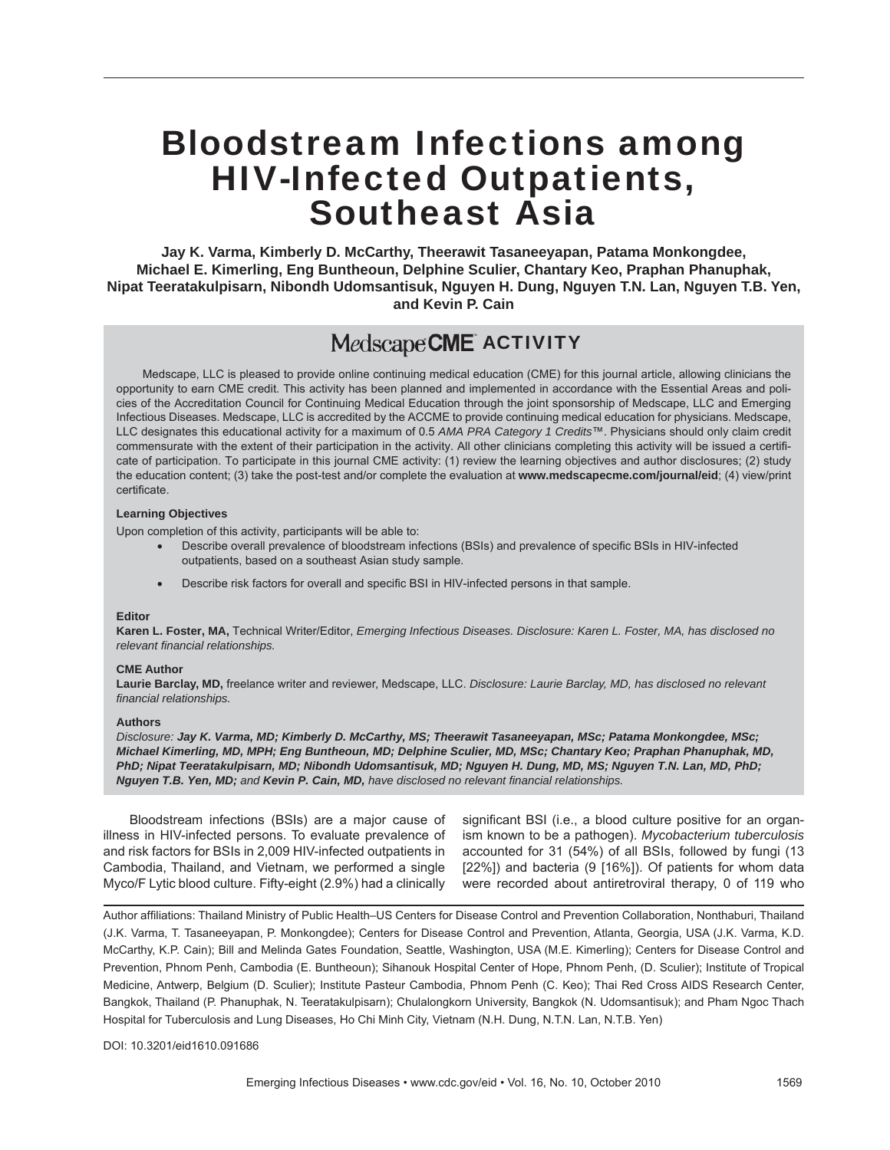# Bloodstream Infections among HIV-Infected Outpatients, Southeast Asia

**Jay K. Varma, Kimberly D. McCarthy, Theerawit Tasaneeyapan, Patama Monkongdee, Michael E. Kimerling, Eng Buntheoun, Delphine Sculier, Chantary Keo, Praphan Phanuphak, Nipat Teeratakulpisarn, Nibondh Udomsantisuk, Nguyen H. Dung, Nguyen T.N. Lan, Nguyen T.B. Yen, and Kevin P. Cain**

## MedscapeCME ACTIVITY

Medscape, LLC is pleased to provide online continuing medical education (CME) for this journal article, allowing clinicians the opportunity to earn CME credit. This activity has been planned and implemented in accordance with the Essential Areas and policies of the Accreditation Council for Continuing Medical Education through the joint sponsorship of Medscape, LLC and Emerging Infectious Diseases. Medscape, LLC is accredited by the ACCME to provide continuing medical education for physicians. Medscape, LLC designates this educational activity for a maximum of 0.5 *AMA PRA Category 1 Credits*™. Physicians should only claim credit commensurate with the extent of their participation in the activity. All other clinicians completing this activity will be issued a certifi cate of participation. To participate in this journal CME activity: (1) review the learning objectives and author disclosures; (2) study the education content; (3) take the post-test and/or complete the evaluation at **www.medscapecme.com/journal/eid**; (4) view/print certificate.

#### **Learning Objectives**

Upon completion of this activity, participants will be able to:

- Describe overall prevalence of bloodstream infections (BSIs) and prevalence of specific BSIs in HIV-infected outpatients, based on a southeast Asian study sample.
- Describe risk factors for overall and specific BSI in HIV-infected persons in that sample.

#### **Editor**

**Karen L. Foster, MA,** Technical Writer/Editor, *Emerging Infectious Diseases. Disclosure: Karen L. Foster, MA, has disclosed no relevant fi nancial relationships.*

#### **CME Author**

**Laurie Barclay, MD,** freelance writer and reviewer, Medscape, LLC. *Disclosure: Laurie Barclay, MD, has disclosed no relevant fi nancial relationships.*

#### **Authors**

*Disclosure: Jay K. Varma, MD; Kimberly D. McCarthy, MS; Theerawit Tasaneeyapan, MSc; Patama Monkongdee, MSc; Michael Kimerling, MD, MPH; Eng Buntheoun, MD; Delphine Sculier, MD, MSc; Chantary Keo; Praphan Phanuphak, MD, PhD; Nipat Teeratakulpisarn, MD; Nibondh Udomsantisuk, MD; Nguyen H. Dung, MD, MS; Nguyen T.N. Lan, MD, PhD; Nguyen T.B. Yen, MD; and Kevin P. Cain, MD, have disclosed no relevant fi nancial relationships.*

Bloodstream infections (BSIs) are a major cause of illness in HIV-infected persons. To evaluate prevalence of and risk factors for BSIs in 2,009 HIV-infected outpatients in Cambodia, Thailand, and Vietnam, we performed a single Myco/F Lytic blood culture. Fifty-eight (2.9%) had a clinically

significant BSI (i.e., a blood culture positive for an organism known to be a pathogen). *Mycobacterium tuberculosis* accounted for 31 (54%) of all BSIs, followed by fungi (13 [22%]) and bacteria (9 [16%]). Of patients for whom data were recorded about antiretroviral therapy, 0 of 119 who

Author affiliations: Thailand Ministry of Public Health–US Centers for Disease Control and Prevention Collaboration, Nonthaburi, Thailand (J.K. Varma, T. Tasaneeyapan, P. Monkongdee); Centers for Disease Control and Prevention, Atlanta, Georgia, USA (J.K. Varma, K.D. McCarthy, K.P. Cain); Bill and Melinda Gates Foundation, Seattle, Washington, USA (M.E. Kimerling); Centers for Disease Control and Prevention, Phnom Penh, Cambodia (E. Buntheoun); Sihanouk Hospital Center of Hope, Phnom Penh, (D. Sculier); Institute of Tropical Medicine, Antwerp, Belgium (D. Sculier); Institute Pasteur Cambodia, Phnom Penh (C. Keo); Thai Red Cross AIDS Research Center, Bangkok, Thailand (P. Phanuphak, N. Teeratakulpisarn); Chulalongkorn University, Bangkok (N. Udomsantisuk); and Pham Ngoc Thach Hospital for Tuberculosis and Lung Diseases, Ho Chi Minh City, Vietnam (N.H. Dung, N.T.N. Lan, N.T.B. Yen)

#### DOI: 10.3201/eid1610.091686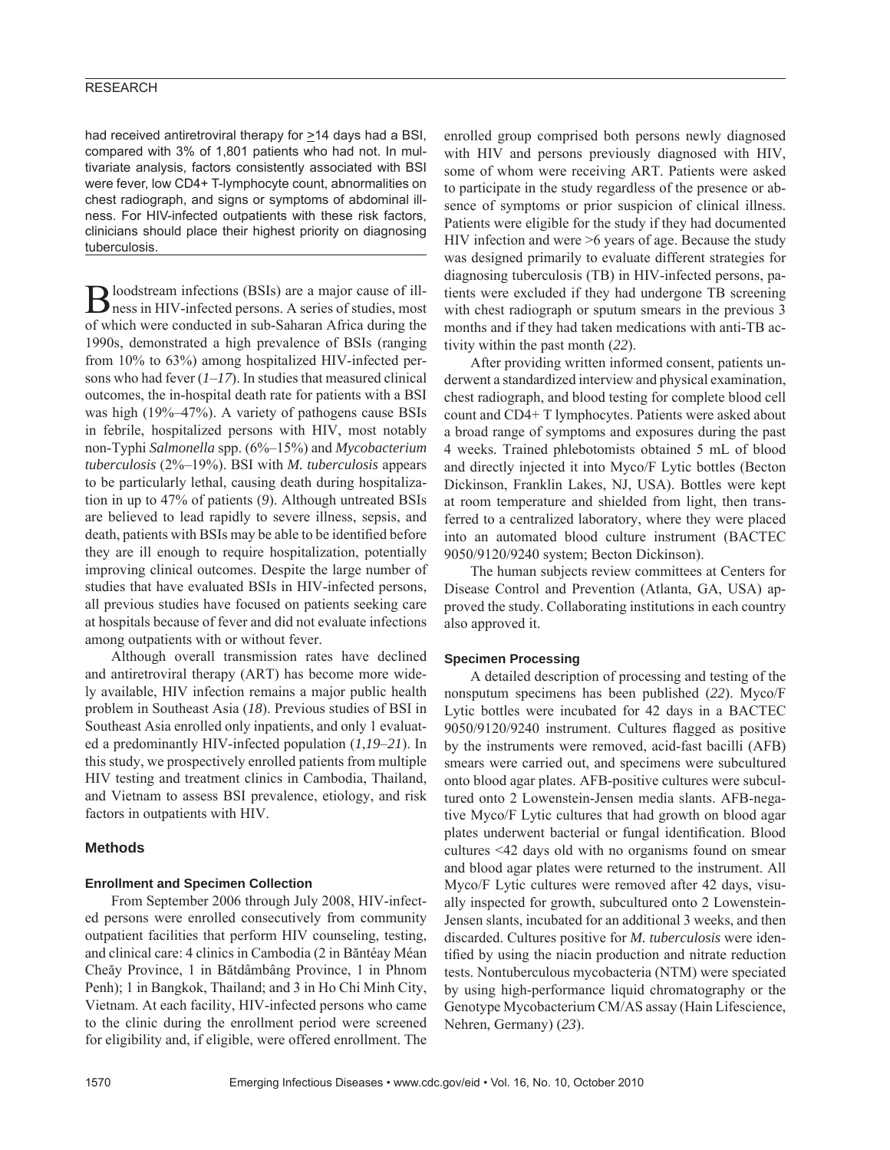#### **RESEARCH**

had received antiretroviral therapy for  $\geq$ 14 days had a BSI, compared with 3% of 1,801 patients who had not. In multivariate analysis, factors consistently associated with BSI were fever, low CD4+ T-lymphocyte count, abnormalities on chest radiograph, and signs or symptoms of abdominal illness. For HIV-infected outpatients with these risk factors, clinicians should place their highest priority on diagnosing tuberculosis.

Bloodstream infections (BSIs) are a major cause of ill-ness in HIV-infected persons. A series of studies, most of which were conducted in sub-Saharan Africa during the 1990s, demonstrated a high prevalence of BSIs (ranging from 10% to 63%) among hospitalized HIV-infected persons who had fever (*1*–*17*). In studies that measured clinical outcomes, the in-hospital death rate for patients with a BSI was high (19%–47%). A variety of pathogens cause BSIs in febrile, hospitalized persons with HIV, most notably non-Typhi *Salmonella* spp. (6%–15%) and *Mycobacterium tuberculosis* (2%–19%). BSI with *M. tuberculosis* appears to be particularly lethal, causing death during hospitalization in up to 47% of patients (*9*). Although untreated BSIs are believed to lead rapidly to severe illness, sepsis, and death, patients with BSIs may be able to be identified before they are ill enough to require hospitalization, potentially improving clinical outcomes. Despite the large number of studies that have evaluated BSIs in HIV-infected persons, all previous studies have focused on patients seeking care at hospitals because of fever and did not evaluate infections among outpatients with or without fever.

Although overall transmission rates have declined and antiretroviral therapy (ART) has become more widely available, HIV infection remains a major public health problem in Southeast Asia (*18*). Previous studies of BSI in Southeast Asia enrolled only inpatients, and only 1 evaluated a predominantly HIV-infected population (*1*,*19*–*21*). In this study, we prospectively enrolled patients from multiple HIV testing and treatment clinics in Cambodia, Thailand, and Vietnam to assess BSI prevalence, etiology, and risk factors in outpatients with HIV.

#### **Methods**

#### **Enrollment and Specimen Collection**

From September 2006 through July 2008, HIV-infected persons were enrolled consecutively from community outpatient facilities that perform HIV counseling, testing, and clinical care: 4 clinics in Cambodia (2 in Băntéay Méan Cheăy Province, 1 in Bătdâmbâng Province, 1 in Phnom Penh); 1 in Bangkok, Thailand; and 3 in Ho Chi Minh City, Vietnam. At each facility, HIV-infected persons who came to the clinic during the enrollment period were screened for eligibility and, if eligible, were offered enrollment. The enrolled group comprised both persons newly diagnosed with HIV and persons previously diagnosed with HIV, some of whom were receiving ART. Patients were asked to participate in the study regardless of the presence or absence of symptoms or prior suspicion of clinical illness. Patients were eligible for the study if they had documented HIV infection and were >6 years of age. Because the study was designed primarily to evaluate different strategies for diagnosing tuberculosis (TB) in HIV-infected persons, patients were excluded if they had undergone TB screening with chest radiograph or sputum smears in the previous 3 months and if they had taken medications with anti-TB activity within the past month (*22*).

After providing written informed consent, patients underwent a standardized interview and physical examination, chest radiograph, and blood testing for complete blood cell count and CD4+ T lymphocytes. Patients were asked about a broad range of symptoms and exposures during the past 4 weeks. Trained phlebotomists obtained 5 mL of blood and directly injected it into Myco/F Lytic bottles (Becton Dickinson, Franklin Lakes, NJ, USA). Bottles were kept at room temperature and shielded from light, then transferred to a centralized laboratory, where they were placed into an automated blood culture instrument (BACTEC 9050/9120/9240 system; Becton Dickinson).

The human subjects review committees at Centers for Disease Control and Prevention (Atlanta, GA, USA) approved the study. Collaborating institutions in each country also approved it.

#### **Specimen Processing**

A detailed description of processing and testing of the nonsputum specimens has been published (*22*). Myco/F Lytic bottles were incubated for 42 days in a BACTEC 9050/9120/9240 instrument. Cultures flagged as positive by the instruments were removed, acid-fast bacilli (AFB) smears were carried out, and specimens were subcultured onto blood agar plates. AFB-positive cultures were subcultured onto 2 Lowenstein-Jensen media slants. AFB-negative Myco/F Lytic cultures that had growth on blood agar plates underwent bacterial or fungal identification. Blood cultures <42 days old with no organisms found on smear and blood agar plates were returned to the instrument. All Myco/F Lytic cultures were removed after 42 days, visually inspected for growth, subcultured onto 2 Lowenstein-Jensen slants, incubated for an additional 3 weeks, and then discarded. Cultures positive for *M. tuberculosis* were identified by using the niacin production and nitrate reduction tests. Nontuberculous mycobacteria (NTM) were speciated by using high-performance liquid chromatography or the Genotype Mycobacterium CM/AS assay (Hain Lifescience, Nehren, Germany) (*23*).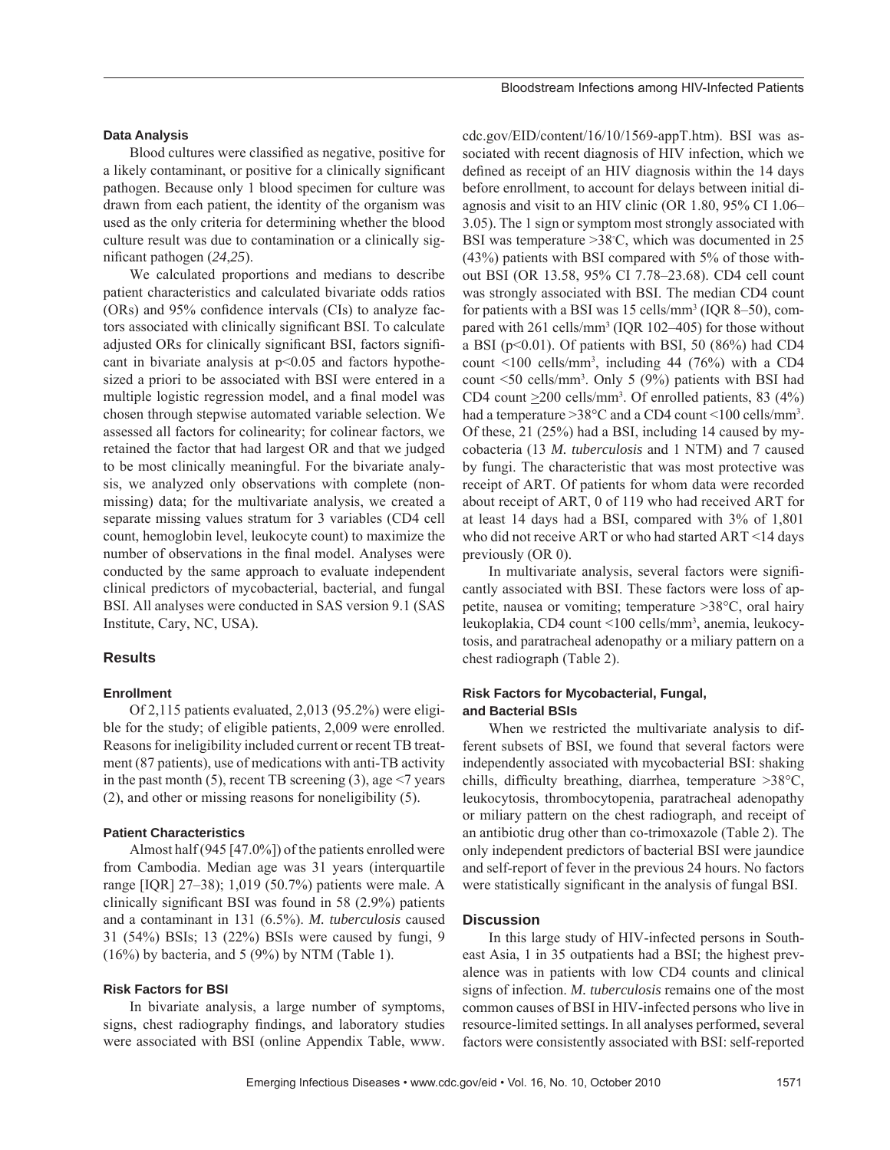#### **Data Analysis**

Blood cultures were classified as negative, positive for a likely contaminant, or positive for a clinically significant pathogen. Because only 1 blood specimen for culture was drawn from each patient, the identity of the organism was used as the only criteria for determining whether the blood culture result was due to contamination or a clinically significant pathogen (24,25).

We calculated proportions and medians to describe patient characteristics and calculated bivariate odds ratios  $(ORS)$  and 95% confidence intervals  $(CIs)$  to analyze factors associated with clinically significant BSI. To calculate adjusted ORs for clinically significant BSI, factors significant in bivariate analysis at  $p<0.05$  and factors hypothesized a priori to be associated with BSI were entered in a multiple logistic regression model, and a final model was chosen through stepwise automated variable selection. We assessed all factors for colinearity; for colinear factors, we retained the factor that had largest OR and that we judged to be most clinically meaningful. For the bivariate analysis, we analyzed only observations with complete (nonmissing) data; for the multivariate analysis, we created a separate missing values stratum for 3 variables (CD4 cell count, hemoglobin level, leukocyte count) to maximize the number of observations in the final model. Analyses were conducted by the same approach to evaluate independent clinical predictors of mycobacterial, bacterial, and fungal BSI. All analyses were conducted in SAS version 9.1 (SAS Institute, Cary, NC, USA).

#### **Results**

#### **Enrollment**

Of 2,115 patients evaluated, 2,013 (95.2%) were eligible for the study; of eligible patients, 2,009 were enrolled. Reasons for ineligibility included current or recent TB treatment (87 patients), use of medications with anti-TB activity in the past month  $(5)$ , recent TB screening  $(3)$ , age  $\leq 7$  years (2), and other or missing reasons for noneligibility (5).

#### **Patient Characteristics**

Almost half (945 [47.0%]) of the patients enrolled were from Cambodia. Median age was 31 years (interquartile range [IQR] 27–38); 1,019 (50.7%) patients were male. A clinically significant BSI was found in  $58$  (2.9%) patients and a contaminant in 131 (6.5%). *M. tuberculosis* caused 31 (54%) BSIs; 13 (22%) BSIs were caused by fungi, 9  $(16\%)$  by bacteria, and 5 (9%) by NTM (Table 1).

#### **Risk Factors for BSI**

In bivariate analysis, a large number of symptoms, signs, chest radiography findings, and laboratory studies were associated with BSI (online Appendix Table, www. cdc.gov/EID/content/16/10/1569-appT.htm). BSI was associated with recent diagnosis of HIV infection, which we defined as receipt of an HIV diagnosis within the 14 days before enrollment, to account for delays between initial diagnosis and visit to an HIV clinic (OR 1.80, 95% CI 1.06– 3.05). The 1 sign or symptom most strongly associated with BSI was temperature >38◦ C, which was documented in 25 (43%) patients with BSI compared with 5% of those without BSI (OR 13.58, 95% CI 7.78–23.68). CD4 cell count was strongly associated with BSI. The median CD4 count for patients with a BSI was 15 cells/mm<sup>3</sup> (IQR 8–50), compared with 261 cells/mm<sup>3</sup> (IQR 102–405) for those without a BSI ( $p<0.01$ ). Of patients with BSI, 50 (86%) had CD4 count  $\leq 100$  cells/mm<sup>3</sup>, including 44 (76%) with a CD4 count <50 cells/mm3 . Only 5 (9%) patients with BSI had CD4 count  $\geq$ 200 cells/mm<sup>3</sup>. Of enrolled patients, 83 (4%) had a temperature > 38 °C and a CD4 count < 100 cells/mm<sup>3</sup>. Of these, 21 (25%) had a BSI, including 14 caused by mycobacteria (13 *M. tuberculosis* and 1 NTM) and 7 caused by fungi. The characteristic that was most protective was receipt of ART. Of patients for whom data were recorded about receipt of ART, 0 of 119 who had received ART for at least 14 days had a BSI, compared with 3% of 1,801 who did not receive ART or who had started ART <14 days previously (OR 0).

In multivariate analysis, several factors were significantly associated with BSI. These factors were loss of appetite, nausea or vomiting; temperature >38°C, oral hairy leukoplakia, CD4 count <100 cells/mm3 , anemia, leukocytosis, and paratracheal adenopathy or a miliary pattern on a chest radiograph (Table 2).

#### **Risk Factors for Mycobacterial, Fungal, and Bacterial BSIs**

When we restricted the multivariate analysis to different subsets of BSI, we found that several factors were independently associated with mycobacterial BSI: shaking chills, difficulty breathing, diarrhea, temperature  $>38^{\circ}$ C, leukocytosis, thrombocytopenia, paratracheal adenopathy or miliary pattern on the chest radiograph, and receipt of an antibiotic drug other than co-trimoxazole (Table 2). The only independent predictors of bacterial BSI were jaundice and self-report of fever in the previous 24 hours. No factors were statistically significant in the analysis of fungal BSI.

#### **Discussion**

In this large study of HIV-infected persons in Southeast Asia, 1 in 35 outpatients had a BSI; the highest prevalence was in patients with low CD4 counts and clinical signs of infection. *M. tuberculosis* remains one of the most common causes of BSI in HIV-infected persons who live in resource-limited settings. In all analyses performed, several factors were consistently associated with BSI: self-reported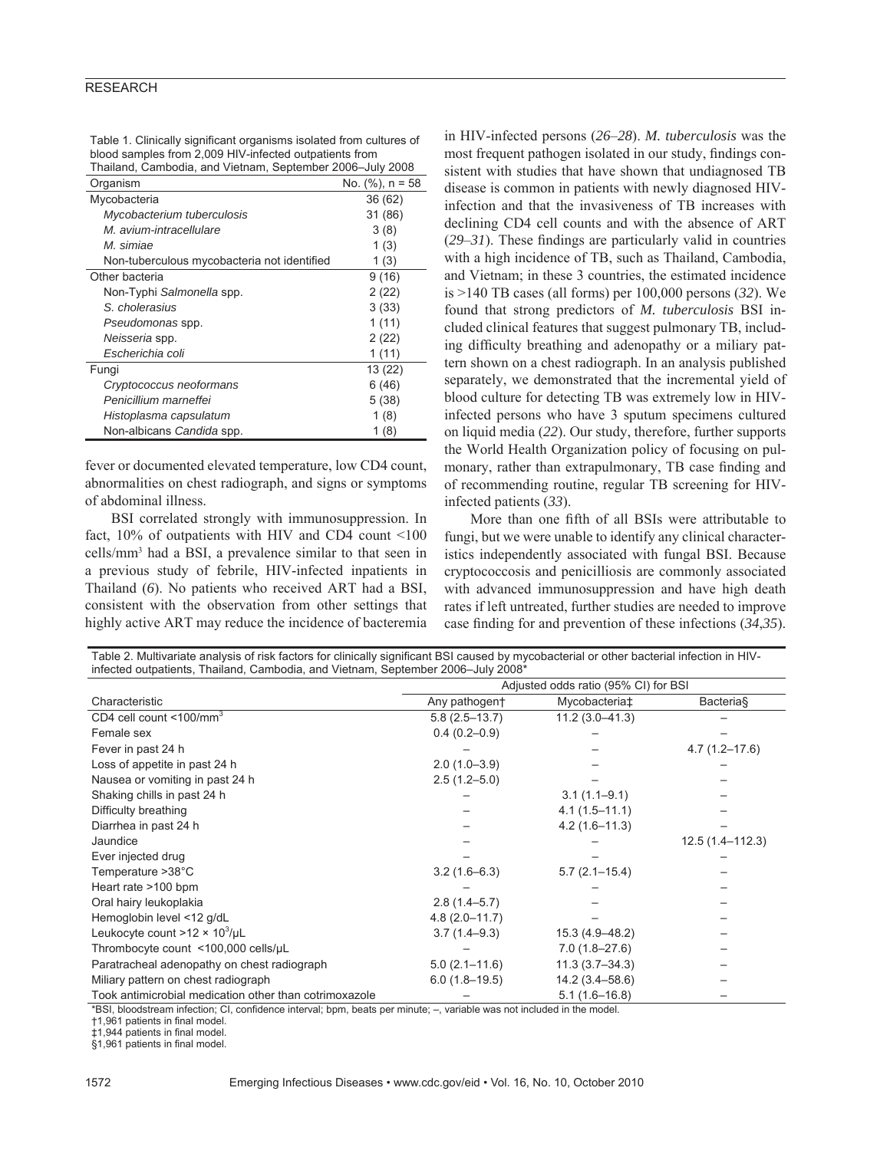#### **RESEARCH**

| Table 1. Clinically significant organisms isolated from cultures of |
|---------------------------------------------------------------------|
| blood samples from 2,009 HIV-infected outpatients from              |
| Thailand, Cambodia, and Vietnam, September 2006-July 2008           |

| <br>Organism                                |                     |
|---------------------------------------------|---------------------|
|                                             | No. $(\%)$ , n = 58 |
| Mycobacteria                                | 36 (62)             |
| Mycobacterium tuberculosis                  | 31 (86)             |
| M. avium-intracellulare                     | 3(8)                |
| M. simiae                                   | 1(3)                |
| Non-tuberculous mycobacteria not identified | 1(3)                |
| Other bacteria                              | 9(16)               |
| Non-Typhi Salmonella spp.                   | 2(22)               |
| S. cholerasius                              | 3(33)               |
| Pseudomonas spp.                            | 1(11)               |
| Neisseria spp.                              | 2(22)               |
| Escherichia coli                            | 1(11)               |
| Fungi                                       | 13 (22)             |
| Cryptococcus neoformans                     | 6 (46)              |
| Penicillium marneffei                       | 5(38)               |
| Histoplasma capsulatum                      | 1(8)                |
| Non-albicans Candida spp.                   | 1(8)                |

fever or documented elevated temperature, low CD4 count, abnormalities on chest radiograph, and signs or symptoms of abdominal illness.

BSI correlated strongly with immunosuppression. In fact, 10% of outpatients with HIV and CD4 count <100 cells/mm3 had a BSI, a prevalence similar to that seen in a previous study of febrile, HIV-infected inpatients in Thailand (*6*). No patients who received ART had a BSI, consistent with the observation from other settings that highly active ART may reduce the incidence of bacteremia

in HIV-infected persons (*26*–*28*). *M. tuberculosis* was the most frequent pathogen isolated in our study, findings consistent with studies that have shown that undiagnosed TB disease is common in patients with newly diagnosed HIVinfection and that the invasiveness of TB increases with declining CD4 cell counts and with the absence of ART  $(29-31)$ . These findings are particularly valid in countries with a high incidence of TB, such as Thailand, Cambodia, and Vietnam; in these 3 countries, the estimated incidence is >140 TB cases (all forms) per 100,000 persons (*32*). We found that strong predictors of *M. tuberculosis* BSI included clinical features that suggest pulmonary TB, including difficulty breathing and adenopathy or a miliary pattern shown on a chest radiograph. In an analysis published separately, we demonstrated that the incremental yield of blood culture for detecting TB was extremely low in HIVinfected persons who have 3 sputum specimens cultured on liquid media (*22*). Our study, therefore, further supports the World Health Organization policy of focusing on pulmonary, rather than extrapulmonary. TB case finding and of recommending routine, regular TB screening for HIVinfected patients (*33*).

More than one fifth of all BSIs were attributable to fungi, but we were unable to identify any clinical characteristics independently associated with fungal BSI. Because cryptococcosis and penicilliosis are commonly associated with advanced immunosuppression and have high death rates if left untreated, further studies are needed to improve case finding for and prevention of these infections (34,35).

| Table 2. Multivariate analysis of risk factors for clinically significant BSI caused by mycobacterial or other bacterial infection in HIV-<br>infected outpatients, Thailand, Cambodia, and Vietnam, September 2006-July 2008* |                                      |                    |                   |  |  |
|--------------------------------------------------------------------------------------------------------------------------------------------------------------------------------------------------------------------------------|--------------------------------------|--------------------|-------------------|--|--|
|                                                                                                                                                                                                                                | Adjusted odds ratio (95% CI) for BSI |                    |                   |  |  |
| Characteristic                                                                                                                                                                                                                 | Any pathogen+                        | Mycobacteria‡      | <b>Bacteria</b> § |  |  |
| CD4 cell count $\leq 100$ /mm <sup>3</sup>                                                                                                                                                                                     | $5.8(2.5 - 13.7)$                    | $11.2(3.0 - 41.3)$ |                   |  |  |
| Female sex                                                                                                                                                                                                                     | $0.4(0.2-0.9)$                       |                    |                   |  |  |
| Fever in past 24 h                                                                                                                                                                                                             |                                      |                    | $4.7(1.2 - 17.6)$ |  |  |
| Loss of appetite in past 24 h                                                                                                                                                                                                  | $2.0(1.0-3.9)$                       |                    |                   |  |  |
| Nausea or vomiting in past 24 h                                                                                                                                                                                                | $2.5(1.2 - 5.0)$                     |                    |                   |  |  |
| Shaking chills in past 24 h                                                                                                                                                                                                    |                                      | $3.1(1.1-9.1)$     |                   |  |  |
| Difficulty breathing                                                                                                                                                                                                           |                                      | $4.1(1.5 - 11.1)$  |                   |  |  |
| Diarrhea in past 24 h                                                                                                                                                                                                          |                                      | $4.2(1.6 - 11.3)$  |                   |  |  |
| Jaundice                                                                                                                                                                                                                       |                                      |                    | 12.5 (1.4-112.3)  |  |  |
| Ever injected drug                                                                                                                                                                                                             |                                      |                    |                   |  |  |
| Temperature >38°C                                                                                                                                                                                                              | $3.2(1.6-6.3)$                       | $5.7(2.1 - 15.4)$  |                   |  |  |
| Heart rate >100 bpm                                                                                                                                                                                                            |                                      |                    |                   |  |  |
| Oral hairy leukoplakia                                                                                                                                                                                                         | $2.8(1.4 - 5.7)$                     |                    |                   |  |  |
| Hemoglobin level <12 g/dL                                                                                                                                                                                                      | $4.8(2.0 - 11.7)$                    |                    |                   |  |  |
| Leukocyte count >12 $\times$ 10 <sup>3</sup> /µL                                                                                                                                                                               | $3.7(1.4 - 9.3)$                     | 15.3 (4.9-48.2)    |                   |  |  |
| Thrombocyte count <100,000 cells/µL                                                                                                                                                                                            |                                      | $7.0(1.8 - 27.6)$  |                   |  |  |
| Paratracheal adenopathy on chest radiograph                                                                                                                                                                                    | $5.0(2.1 - 11.6)$                    | $11.3(3.7 - 34.3)$ |                   |  |  |
| Miliary pattern on chest radiograph                                                                                                                                                                                            | $6.0(1.8-19.5)$                      | 14.2 (3.4–58.6)    |                   |  |  |
| Took antimicrobial medication other than cotrimoxazole                                                                                                                                                                         |                                      | $5.1(1.6 - 16.8)$  |                   |  |  |

\*BSI, bloodstream infection; CI, confidence interval; bpm, beats per minute; –, variable was not included in the model.

†1,961 patients in final model.

‡1,944 patients in final model.

§1,961 patients in final model.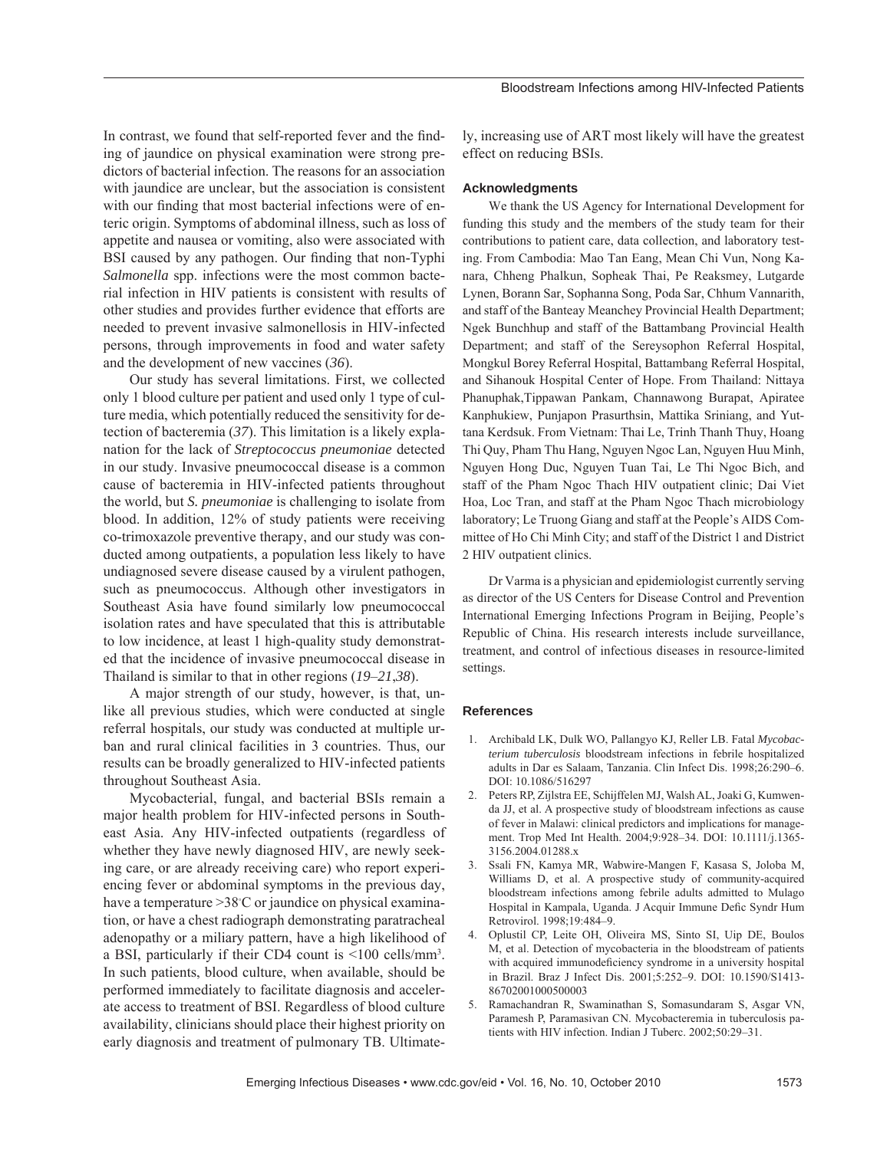In contrast, we found that self-reported fever and the finding of jaundice on physical examination were strong predictors of bacterial infection. The reasons for an association with jaundice are unclear, but the association is consistent with our finding that most bacterial infections were of enteric origin. Symptoms of abdominal illness, such as loss of appetite and nausea or vomiting, also were associated with BSI caused by any pathogen. Our finding that non-Typhi *Salmonella* spp. infections were the most common bacterial infection in HIV patients is consistent with results of other studies and provides further evidence that efforts are needed to prevent invasive salmonellosis in HIV-infected persons, through improvements in food and water safety and the development of new vaccines (*36*).

Our study has several limitations. First, we collected only 1 blood culture per patient and used only 1 type of culture media, which potentially reduced the sensitivity for detection of bacteremia (*37*). This limitation is a likely explanation for the lack of *Streptococcus pneumoniae* detected in our study. Invasive pneumococcal disease is a common cause of bacteremia in HIV-infected patients throughout the world, but *S. pneumoniae* is challenging to isolate from blood. In addition, 12% of study patients were receiving co-trimoxazole preventive therapy, and our study was conducted among outpatients, a population less likely to have undiagnosed severe disease caused by a virulent pathogen, such as pneumococcus. Although other investigators in Southeast Asia have found similarly low pneumococcal isolation rates and have speculated that this is attributable to low incidence, at least 1 high-quality study demonstrated that the incidence of invasive pneumococcal disease in Thailand is similar to that in other regions (*19*–*21*,*38*).

A major strength of our study, however, is that, unlike all previous studies, which were conducted at single referral hospitals, our study was conducted at multiple urban and rural clinical facilities in 3 countries. Thus, our results can be broadly generalized to HIV-infected patients throughout Southeast Asia.

Mycobacterial, fungal, and bacterial BSIs remain a major health problem for HIV-infected persons in Southeast Asia. Any HIV-infected outpatients (regardless of whether they have newly diagnosed HIV, are newly seeking care, or are already receiving care) who report experiencing fever or abdominal symptoms in the previous day, have a temperature > 38°C or jaundice on physical examination, or have a chest radiograph demonstrating paratracheal adenopathy or a miliary pattern, have a high likelihood of a BSI, particularly if their CD4 count is <100 cells/mm3 . In such patients, blood culture, when available, should be performed immediately to facilitate diagnosis and accelerate access to treatment of BSI. Regardless of blood culture availability, clinicians should place their highest priority on early diagnosis and treatment of pulmonary TB. Ultimately, increasing use of ART most likely will have the greatest effect on reducing BSIs.

#### **Acknowledgments**

We thank the US Agency for International Development for funding this study and the members of the study team for their contributions to patient care, data collection, and laboratory testing. From Cambodia: Mao Tan Eang, Mean Chi Vun, Nong Kanara, Chheng Phalkun, Sopheak Thai, Pe Reaksmey, Lutgarde Lynen, Borann Sar, Sophanna Song, Poda Sar, Chhum Vannarith, and staff of the Banteay Meanchey Provincial Health Department; Ngek Bunchhup and staff of the Battambang Provincial Health Department; and staff of the Sereysophon Referral Hospital, Mongkul Borey Referral Hospital, Battambang Referral Hospital, and Sihanouk Hospital Center of Hope. From Thailand: Nittaya Phanuphak,Tippawan Pankam, Channawong Burapat, Apiratee Kanphukiew, Punjapon Prasurthsin, Mattika Sriniang, and Yuttana Kerdsuk. From Vietnam: Thai Le, Trinh Thanh Thuy, Hoang Thi Quy, Pham Thu Hang, Nguyen Ngoc Lan, Nguyen Huu Minh, Nguyen Hong Duc, Nguyen Tuan Tai, Le Thi Ngoc Bich, and staff of the Pham Ngoc Thach HIV outpatient clinic; Dai Viet Hoa, Loc Tran, and staff at the Pham Ngoc Thach microbiology laboratory; Le Truong Giang and staff at the People's AIDS Committee of Ho Chi Minh City; and staff of the District 1 and District 2 HIV outpatient clinics.

Dr Varma is a physician and epidemiologist currently serving as director of the US Centers for Disease Control and Prevention International Emerging Infections Program in Beijing, People's Republic of China. His research interests include surveillance, treatment, and control of infectious diseases in resource-limited settings.

#### **References**

- 1. Archibald LK, Dulk WO, Pallangyo KJ, Reller LB. Fatal *Mycobacterium tuberculosis* bloodstream infections in febrile hospitalized adults in Dar es Salaam, Tanzania. Clin Infect Dis. 1998;26:290–6. DOI: 10.1086/516297
- 2. Peters RP, Zijlstra EE, Schijffelen MJ, Walsh AL, Joaki G, Kumwenda JJ, et al. A prospective study of bloodstream infections as cause of fever in Malawi: clinical predictors and implications for management. Trop Med Int Health. 2004;9:928–34. DOI: 10.1111/j.1365- 3156.2004.01288.x
- 3. Ssali FN, Kamya MR, Wabwire-Mangen F, Kasasa S, Joloba M, Williams D, et al. A prospective study of community-acquired bloodstream infections among febrile adults admitted to Mulago Hospital in Kampala, Uganda. J Acquir Immune Defic Syndr Hum Retrovirol. 1998;19:484–9.
- 4. Oplustil CP, Leite OH, Oliveira MS, Sinto SI, Uip DE, Boulos M, et al. Detection of mycobacteria in the bloodstream of patients with acquired immunodeficiency syndrome in a university hospital in Brazil. Braz J Infect Dis. 2001;5:252–9. DOI: 10.1590/S1413- 86702001000500003
- 5. Ramachandran R, Swaminathan S, Somasundaram S, Asgar VN, Paramesh P, Paramasivan CN. Mycobacteremia in tuberculosis patients with HIV infection. Indian J Tuberc. 2002;50:29–31.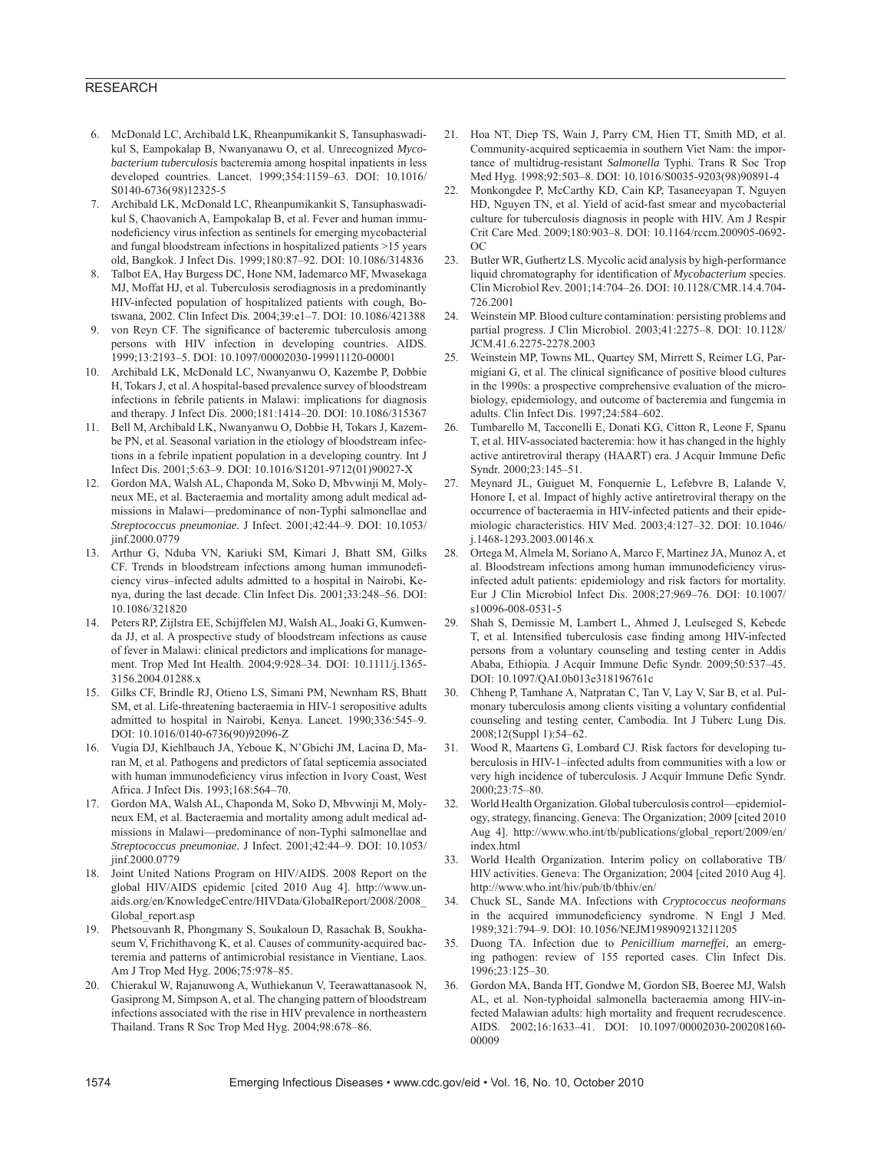#### RESEARCH

- 6. McDonald LC, Archibald LK, Rheanpumikankit S, Tansuphaswadikul S, Eampokalap B, Nwanyanawu O, et al. Unrecognized *Mycobacterium tuberculosis* bacteremia among hospital inpatients in less developed countries. Lancet. 1999;354:1159–63. DOI: 10.1016/ S0140-6736(98)12325-5
- 7. Archibald LK, McDonald LC, Rheanpumikankit S, Tansuphaswadikul S, Chaovanich A, Eampokalap B, et al. Fever and human immunodeficiency virus infection as sentinels for emerging mycobacterial and fungal bloodstream infections in hospitalized patients >15 years old, Bangkok. J Infect Dis. 1999;180:87–92. DOI: 10.1086/314836
- 8. Talbot EA, Hay Burgess DC, Hone NM, Iademarco MF, Mwasekaga MJ, Moffat HJ, et al. Tuberculosis serodiagnosis in a predominantly HIV-infected population of hospitalized patients with cough, Botswana, 2002. Clin Infect Dis. 2004;39:e1–7. DOI: 10.1086/421388
- von Reyn CF. The significance of bacteremic tuberculosis among persons with HIV infection in developing countries. AIDS. 1999;13:2193–5. DOI: 10.1097/00002030-199911120-00001
- 10. Archibald LK, McDonald LC, Nwanyanwu O, Kazembe P, Dobbie H, Tokars J, et al. A hospital-based prevalence survey of bloodstream infections in febrile patients in Malawi: implications for diagnosis and therapy. J Infect Dis. 2000;181:1414–20. DOI: 10.1086/315367
- 11. Bell M, Archibald LK, Nwanyanwu O, Dobbie H, Tokars J, Kazembe PN, et al. Seasonal variation in the etiology of bloodstream infections in a febrile inpatient population in a developing country. Int J Infect Dis. 2001;5:63–9. DOI: 10.1016/S1201-9712(01)90027-X
- 12. Gordon MA, Walsh AL, Chaponda M, Soko D, Mbvwinji M, Molyneux ME, et al. Bacteraemia and mortality among adult medical admissions in Malawi—predominance of non-Typhi salmonellae and *Streptococcus pneumoniae.* J Infect. 2001;42:44–9. DOI: 10.1053/ jinf.2000.0779
- 13. Arthur G, Nduba VN, Kariuki SM, Kimari J, Bhatt SM, Gilks CF. Trends in bloodstream infections among human immunodeficiency virus–infected adults admitted to a hospital in Nairobi, Kenya, during the last decade. Clin Infect Dis. 2001;33:248–56. DOI: 10.1086/321820
- 14. Peters RP, Zijlstra EE, Schijffelen MJ, Walsh AL, Joaki G, Kumwenda JJ, et al. A prospective study of bloodstream infections as cause of fever in Malawi: clinical predictors and implications for management. Trop Med Int Health. 2004;9:928–34. DOI: 10.1111/j.1365- 3156.2004.01288.x
- 15. Gilks CF, Brindle RJ, Otieno LS, Simani PM, Newnham RS, Bhatt SM, et al. Life-threatening bacteraemia in HIV-1 seropositive adults admitted to hospital in Nairobi, Kenya. Lancet. 1990;336:545–9. DOI: 10.1016/0140-6736(90)92096-Z
- 16. Vugia DJ, Kiehlbauch JA, Yeboue K, N'Gbichi JM, Lacina D, Maran M, et al. Pathogens and predictors of fatal septicemia associated with human immunodeficiency virus infection in Ivory Coast, West Africa. J Infect Dis. 1993;168:564–70.
- 17. Gordon MA, Walsh AL, Chaponda M, Soko D, Mbvwinji M, Molyneux EM, et al. Bacteraemia and mortality among adult medical admissions in Malawi—predominance of non-Typhi salmonellae and *Streptococcus pneumoniae.* J Infect. 2001;42:44–9. DOI: 10.1053/ iinf.2000.0779
- 18. Joint United Nations Program on HIV/AIDS. 2008 Report on the global HIV/AIDS epidemic [cited 2010 Aug 4]. http://www.unaids.org/en/KnowledgeCentre/HIVData/GlobalReport/2008/2008\_ Global report.asp
- 19. Phetsouvanh R, Phongmany S, Soukaloun D, Rasachak B, Soukhaseum V, Frichithavong K, et al. Causes of community-acquired bacteremia and patterns of antimicrobial resistance in Vientiane, Laos. Am J Trop Med Hyg. 2006;75:978–85.
- 20. Chierakul W, Rajanuwong A, Wuthiekanun V, Teerawattanasook N, Gasiprong M, Simpson A, et al. The changing pattern of bloodstream infections associated with the rise in HIV prevalence in northeastern Thailand. Trans R Soc Trop Med Hyg. 2004;98:678–86.
- 21. Hoa NT, Diep TS, Wain J, Parry CM, Hien TT, Smith MD, et al. Community-acquired septicaemia in southern Viet Nam: the importance of multidrug-resistant *Salmonella* Typhi. Trans R Soc Trop Med Hyg. 1998;92:503–8. DOI: 10.1016/S0035-9203(98)90891-4
- 22. Monkongdee P, McCarthy KD, Cain KP, Tasaneeyapan T, Nguyen HD, Nguyen TN, et al. Yield of acid-fast smear and mycobacterial culture for tuberculosis diagnosis in people with HIV. Am J Respir Crit Care Med. 2009;180:903–8. DOI: 10.1164/rccm.200905-0692- OC
- 23. Butler WR, Guthertz LS. Mycolic acid analysis by high-performance liquid chromatography for identification of *Mycobacterium* species. Clin Microbiol Rev. 2001;14:704–26. DOI: 10.1128/CMR.14.4.704- 726.2001
- 24. Weinstein MP. Blood culture contamination: persisting problems and partial progress. J Clin Microbiol. 2003;41:2275–8. DOI: 10.1128/ JCM.41.6.2275-2278.2003
- 25. Weinstein MP, Towns ML, Quartey SM, Mirrett S, Reimer LG, Parmigiani G, et al. The clinical significance of positive blood cultures in the 1990s: a prospective comprehensive evaluation of the microbiology, epidemiology, and outcome of bacteremia and fungemia in adults. Clin Infect Dis. 1997;24:584–602.
- 26. Tumbarello M, Tacconelli E, Donati KG, Citton R, Leone F, Spanu T, et al. HIV-associated bacteremia: how it has changed in the highly active antiretroviral therapy (HAART) era. J Acquir Immune Defic Syndr. 2000;23:145–51.
- 27. Meynard JL, Guiguet M, Fonquernie L, Lefebvre B, Lalande V, Honore I, et al. Impact of highly active antiretroviral therapy on the occurrence of bacteraemia in HIV-infected patients and their epidemiologic characteristics. HIV Med. 2003;4:127–32. DOI: 10.1046/ j.1468-1293.2003.00146.x
- 28. Ortega M, Almela M, Soriano A, Marco F, Martinez JA, Munoz A, et al. Bloodstream infections among human immunodeficiency virusinfected adult patients: epidemiology and risk factors for mortality. Eur J Clin Microbiol Infect Dis. 2008;27:969–76. DOI: 10.1007/ s10096-008-0531-5
- 29. Shah S, Demissie M, Lambert L, Ahmed J, Leulseged S, Kebede T, et al. Intensified tuberculosis case finding among HIV-infected persons from a voluntary counseling and testing center in Addis Ababa, Ethiopia. J Acquir Immune Defic Syndr. 2009;50:537-45. DOI: 10.1097/QAI.0b013e318196761c
- 30. Chheng P, Tamhane A, Natpratan C, Tan V, Lay V, Sar B, et al. Pulmonary tuberculosis among clients visiting a voluntary confidential counseling and testing center, Cambodia. Int J Tuberc Lung Dis. 2008;12(Suppl 1):54–62.
- 31. Wood R, Maartens G, Lombard CJ. Risk factors for developing tuberculosis in HIV-1–infected adults from communities with a low or very high incidence of tuberculosis. J Acquir Immune Defic Syndr. 2000;23:75–80.
- 32. World Health Organization. Global tuberculosis control—epidemiology, strategy, financing. Geneva: The Organization; 2009 [cited 2010 Aug 4]. http://www.who.int/tb/publications/global\_report/2009/en/ index.html
- 33. World Health Organization. Interim policy on collaborative TB/ HIV activities. Geneva: The Organization; 2004 [cited 2010 Aug 4]. http://www.who.int/hiv/pub/tb/tbhiv/en/
- 34. Chuck SL, Sande MA. Infections with *Cryptococcus neoformans* in the acquired immunodeficiency syndrome. N Engl J Med. 1989;321:794–9. DOI: 10.1056/NEJM198909213211205
- 35. Duong TA. Infection due to *Penicillium marneffei*, an emerging pathogen: review of 155 reported cases. Clin Infect Dis. 1996;23:125–30.
- 36. Gordon MA, Banda HT, Gondwe M, Gordon SB, Boeree MJ, Walsh AL, et al. Non-typhoidal salmonella bacteraemia among HIV-infected Malawian adults: high mortality and frequent recrudescence. AIDS. 2002;16:1633–41. DOI: 10.1097/00002030-200208160- 00009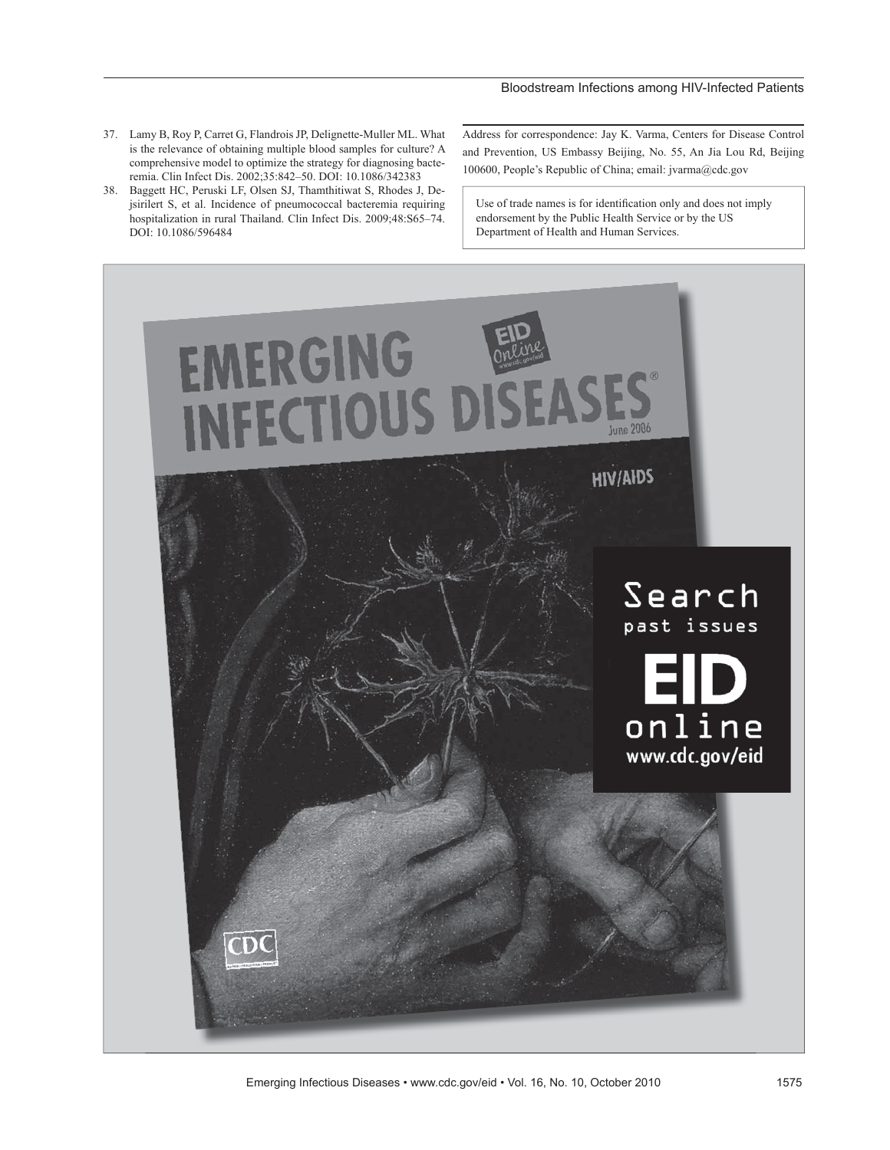#### Bloodstream Infections among HIV-Infected Patients

- 37. Lamy B, Roy P, Carret G, Flandrois JP, Delignette-Muller ML. What is the relevance of obtaining multiple blood samples for culture? A comprehensive model to optimize the strategy for diagnosing bacteremia. Clin Infect Dis. 2002;35:842–50. DOI: 10.1086/342383
- 38. Baggett HC, Peruski LF, Olsen SJ, Thamthitiwat S, Rhodes J, Dejsirilert S, et al. Incidence of pneumococcal bacteremia requiring hospitalization in rural Thailand. Clin Infect Dis. 2009;48:S65–74. DOI: 10.1086/596484

Address for correspondence: Jay K. Varma, Centers for Disease Control and Prevention, US Embassy Beijing, No. 55, An Jia Lou Rd, Beijing 100600, People's Republic of China; email: jvarma@cdc.gov

Use of trade names is for identification only and does not imply endorsement by the Public Health Service or by the US Department of Health and Human Services.